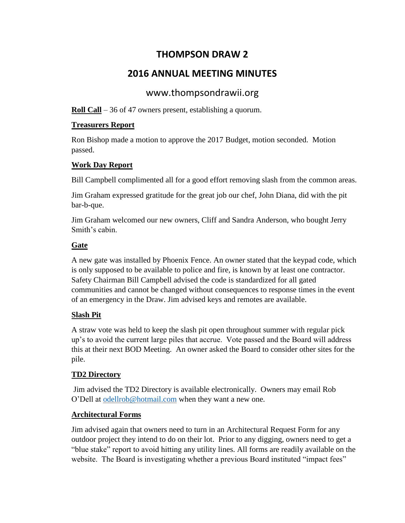## **THOMPSON DRAW 2**

# **2016 ANNUAL MEETING MINUTES**

## www.thompsondrawii.org

**Roll Call** – 36 of 47 owners present, establishing a quorum.

### **Treasurers Report**

Ron Bishop made a motion to approve the 2017 Budget, motion seconded. Motion passed.

### **Work Day Report**

Bill Campbell complimented all for a good effort removing slash from the common areas.

Jim Graham expressed gratitude for the great job our chef, John Diana, did with the pit bar-b-que.

Jim Graham welcomed our new owners, Cliff and Sandra Anderson, who bought Jerry Smith's cabin.

### **Gate**

A new gate was installed by Phoenix Fence. An owner stated that the keypad code, which is only supposed to be available to police and fire, is known by at least one contractor. Safety Chairman Bill Campbell advised the code is standardized for all gated communities and cannot be changed without consequences to response times in the event of an emergency in the Draw. Jim advised keys and remotes are available.

### **Slash Pit**

A straw vote was held to keep the slash pit open throughout summer with regular pick up's to avoid the current large piles that accrue. Vote passed and the Board will address this at their next BOD Meeting. An owner asked the Board to consider other sites for the pile.

### **TD2 Directory**

Jim advised the TD2 Directory is available electronically. Owners may email Rob O'Dell at [odellrob@hotmail.com](mailto:odellrob@hotmail.com) when they want a new one.

### **Architectural Forms**

Jim advised again that owners need to turn in an Architectural Request Form for any outdoor project they intend to do on their lot. Prior to any digging, owners need to get a "blue stake" report to avoid hitting any utility lines. All forms are readily available on the website. The Board is investigating whether a previous Board instituted "impact fees"